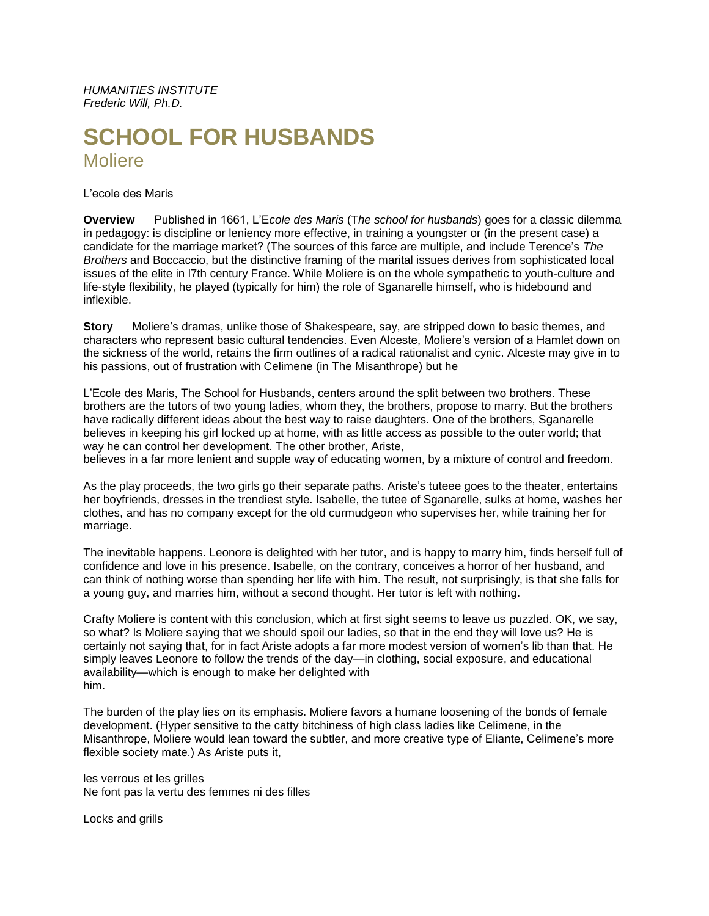*HUMANITIES INSTITUTE Frederic Will, Ph.D.*

# **SCHOOL FOR HUSBANDS** Moliere

L'ecole des Maris

**Overview** Published in 1661, L'E*cole des Maris* (T*he school for husbands*) goes for a classic dilemma in pedagogy: is discipline or leniency more effective, in training a youngster or (in the present case) a candidate for the marriage market? (The sources of this farce are multiple, and include Terence's *The Brothers* and Boccaccio, but the distinctive framing of the marital issues derives from sophisticated local issues of the elite in l7th century France. While Moliere is on the whole sympathetic to youth-culture and life-style flexibility, he played (typically for him) the role of Sganarelle himself, who is hidebound and inflexible.

**Story** Moliere's dramas, unlike those of Shakespeare, say, are stripped down to basic themes, and characters who represent basic cultural tendencies. Even Alceste, Moliere's version of a Hamlet down on the sickness of the world, retains the firm outlines of a radical rationalist and cynic. Alceste may give in to his passions, out of frustration with Celimene (in The Misanthrope) but he

L'Ecole des Maris, The School for Husbands, centers around the split between two brothers. These brothers are the tutors of two young ladies, whom they, the brothers, propose to marry. But the brothers have radically different ideas about the best way to raise daughters. One of the brothers, Sganarelle believes in keeping his girl locked up at home, with as little access as possible to the outer world; that way he can control her development. The other brother, Ariste,

believes in a far more lenient and supple way of educating women, by a mixture of control and freedom.

As the play proceeds, the two girls go their separate paths. Ariste's tuteee goes to the theater, entertains her boyfriends, dresses in the trendiest style. Isabelle, the tutee of Sganarelle, sulks at home, washes her clothes, and has no company except for the old curmudgeon who supervises her, while training her for marriage.

The inevitable happens. Leonore is delighted with her tutor, and is happy to marry him, finds herself full of confidence and love in his presence. Isabelle, on the contrary, conceives a horror of her husband, and can think of nothing worse than spending her life with him. The result, not surprisingly, is that she falls for a young guy, and marries him, without a second thought. Her tutor is left with nothing.

Crafty Moliere is content with this conclusion, which at first sight seems to leave us puzzled. OK, we say, so what? Is Moliere saying that we should spoil our ladies, so that in the end they will love us? He is certainly not saying that, for in fact Ariste adopts a far more modest version of women's lib than that. He simply leaves Leonore to follow the trends of the day—in clothing, social exposure, and educational availability—which is enough to make her delighted with him.

The burden of the play lies on its emphasis. Moliere favors a humane loosening of the bonds of female development. (Hyper sensitive to the catty bitchiness of high class ladies like Celimene, in the Misanthrope, Moliere would lean toward the subtler, and more creative type of Eliante, Celimene's more flexible society mate.) As Ariste puts it,

les verrous et les grilles Ne font pas la vertu des femmes ni des filles

Locks and grills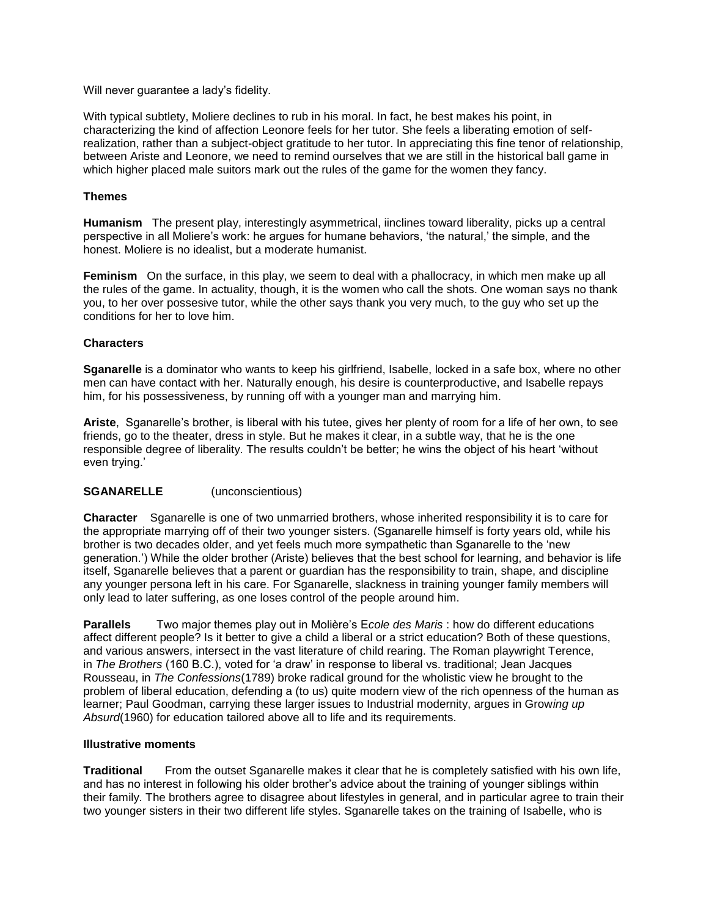Will never guarantee a lady's fidelity.

With typical subtlety, Moliere declines to rub in his moral. In fact, he best makes his point, in characterizing the kind of affection Leonore feels for her tutor. She feels a liberating emotion of selfrealization, rather than a subject-object gratitude to her tutor. In appreciating this fine tenor of relationship, between Ariste and Leonore, we need to remind ourselves that we are still in the historical ball game in which higher placed male suitors mark out the rules of the game for the women they fancy.

## **Themes**

**Humanism** The present play, interestingly asymmetrical, iinclines toward liberality, picks up a central perspective in all Moliere's work: he argues for humane behaviors, 'the natural,' the simple, and the honest. Moliere is no idealist, but a moderate humanist.

**Feminism** On the surface, in this play, we seem to deal with a phallocracy, in which men make up all the rules of the game. In actuality, though, it is the women who call the shots. One woman says no thank you, to her over possesive tutor, while the other says thank you very much, to the guy who set up the conditions for her to love him.

### **Characters**

**Sganarelle** is a dominator who wants to keep his girlfriend, Isabelle, locked in a safe box, where no other men can have contact with her. Naturally enough, his desire is counterproductive, and Isabelle repays him, for his possessiveness, by running off with a younger man and marrying him.

**Ariste**, Sganarelle's brother, is liberal with his tutee, gives her plenty of room for a life of her own, to see friends, go to the theater, dress in style. But he makes it clear, in a subtle way, that he is the one responsible degree of liberality. The results couldn't be better; he wins the object of his heart 'without even trying.'

### **SGANARELLE** (unconscientious)

**Character** Sganarelle is one of two unmarried brothers, whose inherited responsibility it is to care for the appropriate marrying off of their two younger sisters. (Sganarelle himself is forty years old, while his brother is two decades older, and yet feels much more sympathetic than Sganarelle to the 'new generation.') While the older brother (Ariste) believes that the best school for learning, and behavior is life itself, Sganarelle believes that a parent or guardian has the responsibility to train, shape, and discipline any younger persona left in his care. For Sganarelle, slackness in training younger family members will only lead to later suffering, as one loses control of the people around him.

**Parallels** Two major themes play out in Molière's E*cole des Maris* : how do different educations affect different people? Is it better to give a child a liberal or a strict education? Both of these questions, and various answers, intersect in the vast literature of child rearing. The Roman playwright Terence, in *The Brothers* (160 B.C.), voted for 'a draw' in response to liberal vs. traditional; Jean Jacques Rousseau, in *The Confessions*(1789) broke radical ground for the wholistic view he brought to the problem of liberal education, defending a (to us) quite modern view of the rich openness of the human as learner; Paul Goodman, carrying these larger issues to Industrial modernity, argues in Grow*ing up Absurd*(1960) for education tailored above all to life and its requirements.

### **Illustrative moments**

**Traditional** From the outset Sganarelle makes it clear that he is completely satisfied with his own life, and has no interest in following his older brother's advice about the training of younger siblings within their family. The brothers agree to disagree about lifestyles in general, and in particular agree to train their two younger sisters in their two different life styles. Sganarelle takes on the training of Isabelle, who is